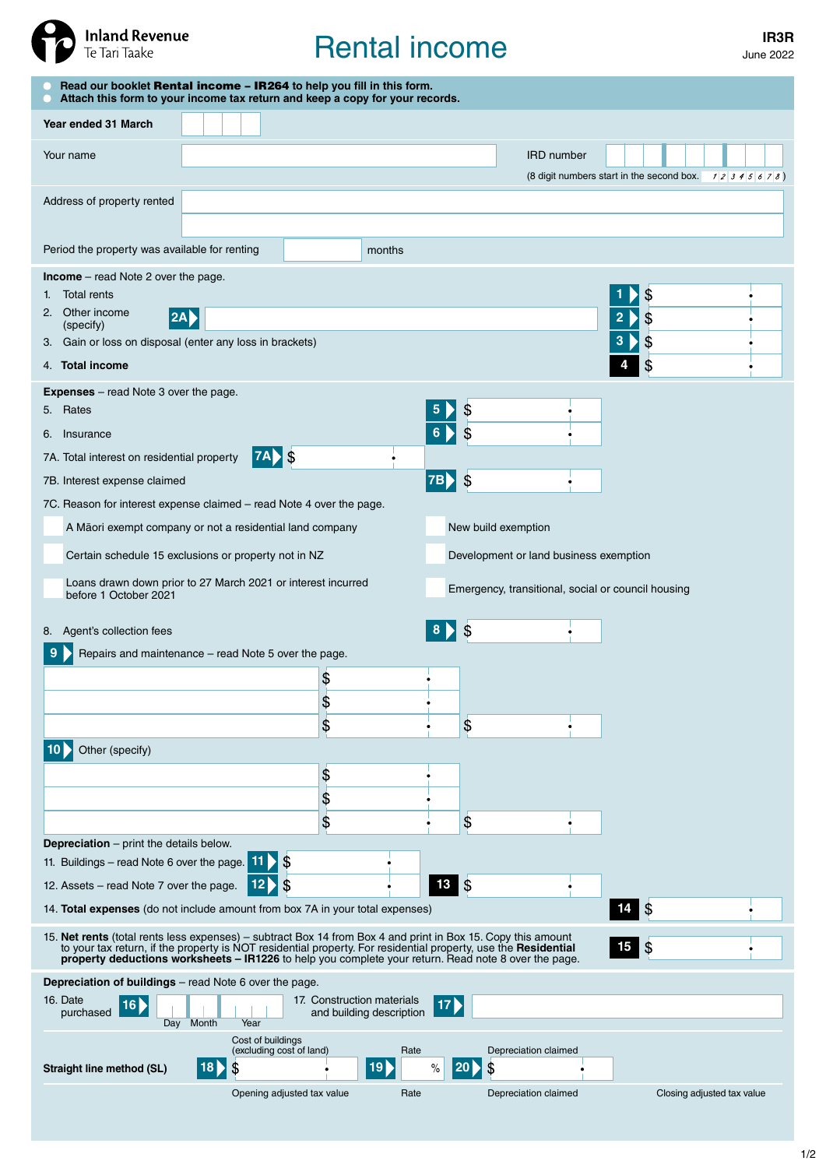

# Rental income **IR3R**

| Read our booklet Rental income - IR264 to help you fill in this form.<br>Attach this form to your income tax return and keep a copy for your records.                                                                                                                                 |                                                                                                                                                                                                                        |                                                        |                                                   |                                                                                              |                                                        |  |  |  |  |
|---------------------------------------------------------------------------------------------------------------------------------------------------------------------------------------------------------------------------------------------------------------------------------------|------------------------------------------------------------------------------------------------------------------------------------------------------------------------------------------------------------------------|--------------------------------------------------------|---------------------------------------------------|----------------------------------------------------------------------------------------------|--------------------------------------------------------|--|--|--|--|
| Year ended 31 March                                                                                                                                                                                                                                                                   |                                                                                                                                                                                                                        |                                                        |                                                   |                                                                                              |                                                        |  |  |  |  |
| Your name                                                                                                                                                                                                                                                                             |                                                                                                                                                                                                                        |                                                        |                                                   | <b>IRD</b> number                                                                            | (8 digit numbers start in the second box. $12345678$ ) |  |  |  |  |
| Address of property rented                                                                                                                                                                                                                                                            |                                                                                                                                                                                                                        |                                                        |                                                   |                                                                                              |                                                        |  |  |  |  |
| Period the property was available for renting                                                                                                                                                                                                                                         |                                                                                                                                                                                                                        | months                                                 |                                                   |                                                                                              |                                                        |  |  |  |  |
| <b>Income</b> – read Note 2 over the page.<br><b>Total rents</b><br>1.<br>2. Other income<br>(specify)<br>3. Gain or loss on disposal (enter any loss in brackets)<br>4. Total income                                                                                                 | <b>2A</b>                                                                                                                                                                                                              |                                                        |                                                   |                                                                                              | \$<br>\$<br>\$<br>3<br>\$                              |  |  |  |  |
| <b>Expenses</b> – read Note 3 over the page.<br>5. Rates<br>6. Insurance<br>7A. Total interest on residential property<br>7B. Interest expense claimed<br>7C. Reason for interest expense claimed - read Note 4 over the page.<br>before 1 October 2021<br>8. Agent's collection fees | <b>7A</b> \$<br>A Māori exempt company or not a residential land company<br>Certain schedule 15 exclusions or property not in NZ<br>Loans drawn down prior to 27 March 2021 or interest incurred                       |                                                        | \$<br>\$<br><b>7B</b><br>New build exemption<br>S | Development or land business exemption<br>Emergency, transitional, social or council housing |                                                        |  |  |  |  |
|                                                                                                                                                                                                                                                                                       | Repairs and maintenance - read Note 5 over the page.                                                                                                                                                                   |                                                        |                                                   |                                                                                              |                                                        |  |  |  |  |
|                                                                                                                                                                                                                                                                                       |                                                                                                                                                                                                                        | \$<br>\$                                               |                                                   |                                                                                              |                                                        |  |  |  |  |
|                                                                                                                                                                                                                                                                                       |                                                                                                                                                                                                                        | \$                                                     | \$                                                |                                                                                              |                                                        |  |  |  |  |
| Other (specify)<br><b>Depreciation</b> $-$ print the details below.<br>11. Buildings – read Note 6 over the page.                                                                                                                                                                     | $\mathcal{L}$<br>11                                                                                                                                                                                                    | \$<br>\$<br>\$                                         | \$                                                |                                                                                              |                                                        |  |  |  |  |
| 12. Assets - read Note 7 over the page.                                                                                                                                                                                                                                               | \$<br>12                                                                                                                                                                                                               |                                                        | $13 \quad$ $\frac{2}{3}$                          |                                                                                              |                                                        |  |  |  |  |
| 14. Total expenses (do not include amount from box 7A in your total expenses)<br>15. Net rents (total rents less expenses) – subtract Box 14 from Box 4 and print in Box 15. Copy this amount                                                                                         | to your tax return, if the property is NOT residential property. For residential property, use the Residential<br>property deductions worksheets - IR1226 to help you complete your return. Read note 8 over the page. |                                                        |                                                   |                                                                                              | $\mathcal{S}$<br>14<br>15<br>$\sqrt{3}$                |  |  |  |  |
| Depreciation of buildings - read Note 6 over the page.<br>16. Date<br>16<br>purchased                                                                                                                                                                                                 |                                                                                                                                                                                                                        | 17. Construction materials<br>and building description | 17 <sub>b</sub>                                   |                                                                                              |                                                        |  |  |  |  |
| Day<br>Straight line method (SL)                                                                                                                                                                                                                                                      | Month<br>Year<br>Cost of buildings<br>(excluding cost of land)<br>18 D<br>Opening adjusted tax value                                                                                                                   | Rate<br>19 <sub>b</sub><br>Rate                        | \$<br>$\%$<br> 20                                 | Depreciation claimed<br>Depreciation claimed                                                 | Closing adjusted tax value                             |  |  |  |  |